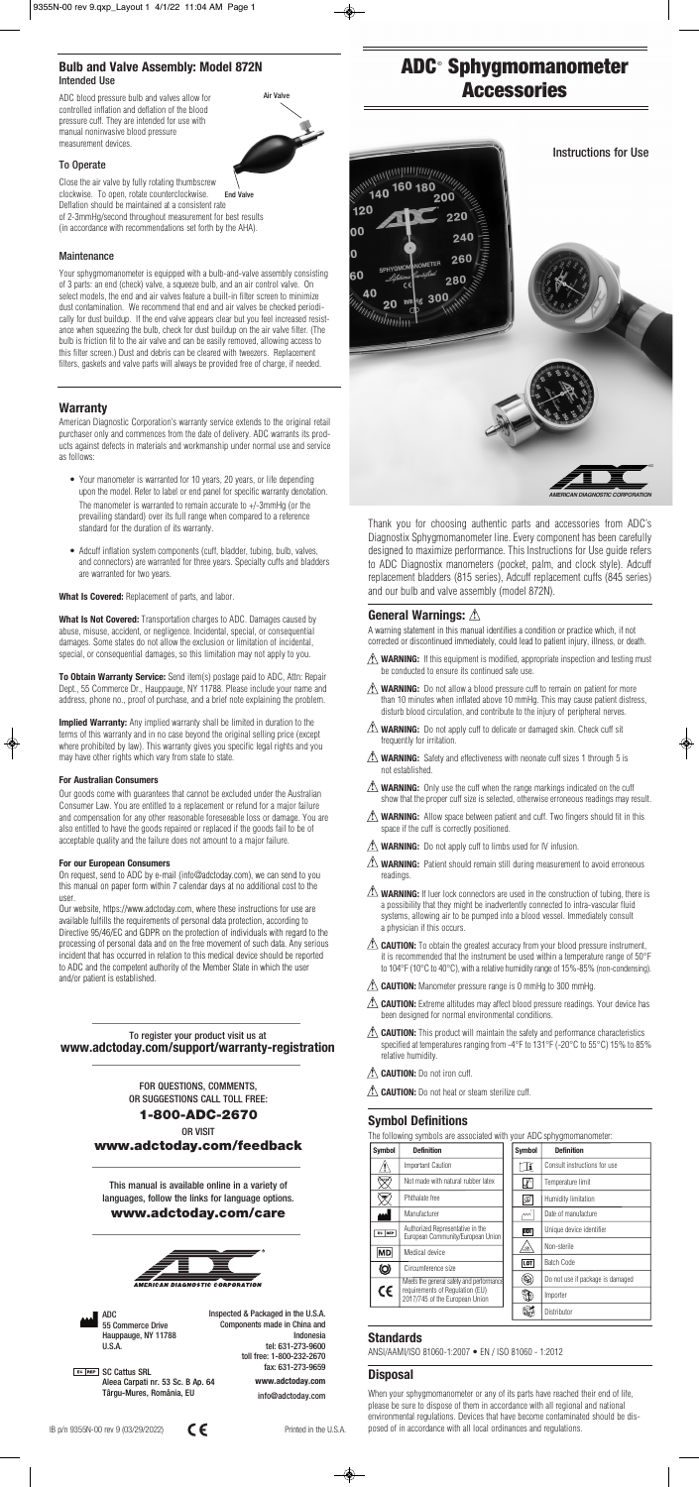ADC 55 Commerce Drive Hauppauge, NY 11788 U.S.A.

**EC REP** SC Cattus SRL Aleea Carpati nr. 53 Sc. B Ap. 64 Târgu-Mures, România, EU

Inspected & Packaged in the U.S.A. Components made in China and Indonesia tel: 631-273-9600 toll free: 1-800-232-2670 fax: 631-273-9659

> **www.adctoday.com**  info@adctoday.com

IB p/n 9355N-00 rev 9 (03/29/2022) Printed in the U.S.A.



Your sphygmomanometer is equipped with a bulb-and-valve assembly consisting of 3 parts: an end (check) valve, a squeeze bulb, and an air control valve. On select models, the end and air valves feature a built-in filter screen to minimize dust contamination. We recommend that end and air valves be checked periodically for dust buildup. If the end valve appears clear but you feel increased resistance when squeezing the bulb, check for dust buildup on the air valve filter. (The bulb is friction fit to the air valve and can be easily removed, allowing access to this filter screen.) Dust and debris can be cleared with tweezers. Replacement filters, gaskets and valve parts will always be provided free of charge, if needed.

#### **Warranty**

American Diagnostic Corporation's warranty service extends to the original retail purchaser only and commences from the date of delivery. ADC warrants its products against defects in materials and workmanship under normal use and service as follows:

- Your manometer is warranted for 10 years, 20 years, or life depending upon the model. Refer to label or end panel for specific warranty denotation. The manometer is warranted to remain accurate to +/-3mmHg (or the prevailing standard) over its full range when compared to a reference standard for the duration of its warranty.
- Adcuff inflation system components (cuff, bladder, tubing, bulb, valves, and connectors) are warranted for three years. Specialty cuffs and bladders are warranted for two years.

**What Is Covered:** Replacement of parts, and labor.

**What Is Not Covered:** Transportation charges to ADC. Damages caused by abuse, misuse, accident, or negligence. Incidental, special, or consequential damages. Some states do not allow the exclusion or limitation of incidental, special, or consequential damages, so this limitation may not apply to you.

**To Obtain Warranty Service:** Send item(s) postage paid to ADC, Attn: Repair Dept., 55 Commerce Dr., Hauppauge, NY 11788. Please include your name and address, phone no., proof of purchase, and a brief note explaining the problem.

**Implied Warranty:** Any implied warranty shall be limited in duration to the terms of this warranty and in no case beyond the original selling price (except where prohibited by law). This warranty gives you specific legal rights and you may have other rights which vary from state to state.

#### **For Australian Consumers**

Our goods come with guarantees that cannot be excluded under the Australian Consumer Law. You are entitled to a replacement or refund for a major failure and compensation for any other reasonable foreseeable loss or damage. You are also entitled to have the goods repaired or replaced if the goods fail to be of acceptable quality and the failure does not amount to a major failure.

#### **For our European Consumers**

On request, send to ADC by e-mail (info@adctoday.com), we can send to you this manual on paper form within 7 calendar days at no additional cost to the user.

Our website, https://www.adctoday.com, where these instructions for use are available fulfills the requirements of personal data protection, according to Directive 95/46/EC and GDPR on the protection of individuals with regard to the processing of personal data and on the free movement of such data. Any serious incident that has occurred in relation to this medical device should be reported to ADC and the competent authority of the Member State in which the user and/or patient is established.

# **ADC<sup>®</sup> Sphygmomanometer Accessories** <u>Accessories de la componenta</u><br>Accessories de la componenta de la componenta de la componenta de la componenta de la componenta de la componen

This manual is available online in a variety of languages, follow the links for language options. **www.adctoday.com/care**



#### To register your product visit us at **www.adctoday.com/support/warranty-registration**

FOR QUESTIONS, COMMENTS, OR SUGGESTIONS CALL TOLL FREE:

#### **1-800-ADC-2670**

OR VISIT **www.adctoday.com/feedback** Thank you for choosing authentic parts and accessories from ADC's Diagnostix Sphygmomanometer line. Every component has been carefully designed to maximize performance. This Instructions for Use guide refers to ADC Diagnostix manometers (pocket, palm, and clock style). Adcuff replacement bladders (815 series), Adcuff replacement cuffs (845 series) and our bulb and valve assembly (model 872N).

A warning statement in this manual identifies a condition or practice which, if not corrected or discontinued immediately, could lead to patient injury, illness, or death. 

- **WARNING:** If this equipment is modified, appropriate inspection and testing must **!** be conducted to ensure its continued safe use.
- **WARNING:** Do not allow a blood pressure cuff to remain on patient for more **!** than 10 minutes when inflated above 10 mmHg. This may cause patient distress, disturb blood circulation, and contribute to the injury of peripheral nerves.
- **WARNING:** Do not apply cuff to delicate or damaged skin. Check cuff sit **!** frequently for irritation.
- **WARNING:** Safety and effectiveness with neonate cuff sizes 1 through 5 is **!** not established.
- **WARNING:** Only use the cuff when the range markings indicated on the cuff **!** show that the proper cuff size is selected, otherwise erroneous readings may result.
- **WARNING:** Allow space between patient and cuff. Two fingers should fit in this **!** space if the cuff is correctly positioned.
- **WARNING:** Do not apply cuff to limbs used for IV infusion. **!**
- **WARNING:** Patient should remain still during measurement to avoid erroneous **!** readings.
- **WARNING:** If luer lock connectors are used in the construction of tubing, there is **!** a possibility that they might be inadvertently connected to intra-vascular fluid systems, allowing air to be pumped into a blood vessel. Immediately consult a physician if this occurs.
- **CAUTION:** To obtain the greatest accuracy from your blood pressure instrument, **!** it is recommended that the instrument be used within a temperature range of 50°F to 104°F (10°C to 40°C), with a relative humidity range of 15%-85% (non-condensing).
- **CAUTION:** Manometer pressure range is 0 mmHg to 300 mmHg. **!**
- **CAUTION:** Extreme altitudes may affect blood pressure readings. Your device has **!** been designed for normal environmental conditions.

#### **General Warnings: !**

 **CAUTION:** This product will maintain the safety and performance characteristics **!** specified at temperatures ranging from -4°F to 131°F (-20°C to 55°C) 15% to 85% relative humidity.

# **Symbol Definitions**

The following symbols are associated with your ADC sphygmomanometer:

#### **Standards**

ANSI/AAMI/ISO 81060-1:2007 • EN / ISO 81060 - 1:2012

## **Disposal**

**CAUTION:** Do not iron cuff. **!**

**CAUTION:** Do not heat or steam sterilize cuff. **!**

When your sphygmomanometer or any of its parts have reached their end of life, please be sure to dispose of them in accordance with all regional and national environmental regulations. Devices that have become contaminated should be disposed of in accordance with all local ordinances and regulations.

#### **Bulb and Valve Assembly: Model 872N** Intended Use

ADC blood pressure bulb and valves allow for controlled inflation and deflation of the blood pressure cuff. They are intended for use with manual noninvasive blood pressure measurement devices.

To Operate

Close the air valve by fully rotating thumbscrew clockwise. To open, rotate counterclockwise. Deflation should be maintained at a consistent rate of 2-3mmHg/second throughout measurement for best results (in accordance with recommendations set forth by the AHA). End Valve

#### **Maintenance**



| <b>Symbol</b> | <b>Definition</b>                                                                                             | <b>Symbol</b>            | <b>Definition</b>                |
|---------------|---------------------------------------------------------------------------------------------------------------|--------------------------|----------------------------------|
|               | <b>Important Caution</b>                                                                                      | Ii                       | Consult instructions for use     |
| <b>INTEX</b>  | Not made with natural rubber latex                                                                            | $\overline{\mathcal{A}}$ | Temperature limit                |
| <b>RHA</b>    | Phthalate free                                                                                                | ∯                        | Humidity limitation              |
|               | Manufacturer                                                                                                  | мN                       | Date of manufacture              |
| EC REP        | Authorized Representative in the<br>European Community/European Union                                         | UDI                      | Unique device identifier         |
| <b>MD</b>     | Medical device                                                                                                | /灬                       | Non-sterile                      |
| ◎             | Circumference size                                                                                            | LOT                      | Batch Code                       |
|               | Meets the general safety and performance<br>requirements of Requlation (EU)<br>2017/745 of the European Union | $\otimes$                | Do not use if package is damaged |
| $\epsilon$    |                                                                                                               | Ð                        | Importer                         |
|               |                                                                                                               | K                        | Distributor                      |